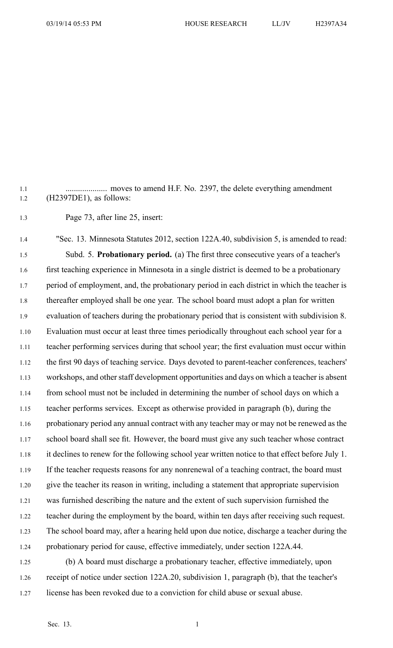1.1 .................... moves to amend H.F. No. 2397, the delete everything amendment 1.2 (H2397DE1), as follows:

1.3 Page 73, after line 25, insert:

1.4 "Sec. 13. Minnesota Statutes 2012, section 122A.40, subdivision 5, is amended to read: 1.5 Subd. 5. **Probationary period.** (a) The first three consecutive years of <sup>a</sup> teacher's 1.6 first teaching experience in Minnesota in <sup>a</sup> single district is deemed to be <sup>a</sup> probationary 1.7 period of employment, and, the probationary period in each district in which the teacher is 1.8 thereafter employed shall be one year. The school board must adopt <sup>a</sup> plan for written 1.9 evaluation of teachers during the probationary period that is consistent with subdivision 8. 1.10 Evaluation must occur at least three times periodically throughout each school year for <sup>a</sup> 1.11 teacher performing services during that school year; the first evaluation must occur within 1.12 the first 90 days of teaching service. Days devoted to parent-teacher conferences, teachers' 1.13 workshops, and other staff development opportunities and days on which <sup>a</sup> teacher is absent 1.14 from school must not be included in determining the number of school days on which <sup>a</sup> 1.15 teacher performs services. Except as otherwise provided in paragraph (b), during the 1.16 probationary period any annual contract with any teacher may or may not be renewed as the 1.17 school board shall see fit. However, the board must give any such teacher whose contract 1.18 it declines to renew for the following school year written notice to that effect before July 1. 1.19 If the teacher requests reasons for any nonrenewal of a teaching contract, the board must 1.20 give the teacher its reason in writing, including <sup>a</sup> statement that appropriate supervision 1.21 was furnished describing the nature and the extent of such supervision furnished the 1.22 teacher during the employment by the board, within ten days after receiving such request. 1.23 The school board may, after <sup>a</sup> hearing held upon due notice, discharge <sup>a</sup> teacher during the 1.24 probationary period for cause, effective immediately, under section 122A.44. 1.25 (b) A board must discharge <sup>a</sup> probationary teacher, effective immediately, upon

1.26 receipt of notice under section 122A.20, subdivision 1, paragraph (b), that the teacher's 1.27 license has been revoked due to <sup>a</sup> conviction for child abuse or sexual abuse.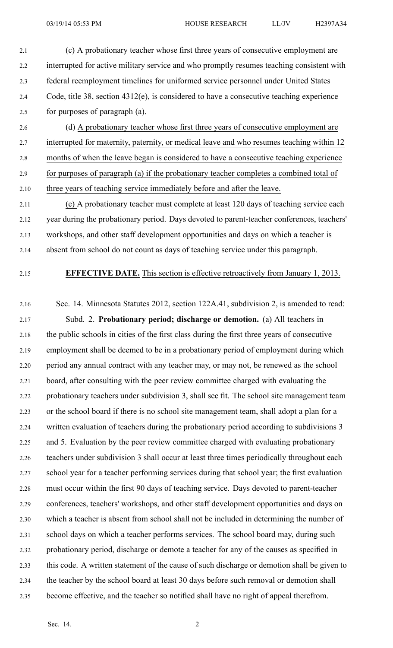- 2.1 (c) A probationary teacher whose first three years of consecutive employment are 2.2 interrupted for active military service and who promptly resumes teaching consistent with 2.3 federal reemployment timelines for uniformed service personnel under United States 2.4 Code, title 38, section 4312(e), is considered to have <sup>a</sup> consecutive teaching experience 2.5 for purposes of paragraph (a).
- 2.6 (d) A probationary teacher whose first three years of consecutive employment are 2.7 interrupted for maternity, paternity, or medical leave and who resumes teaching within 12 2.8 months of when the leave began is considered to have <sup>a</sup> consecutive teaching experience 2.9 for purposes of paragraph (a) if the probationary teacher completes <sup>a</sup> combined total of 2.10 three years of teaching service immediately before and after the leave.
- 2.11 (e) A probationary teacher must complete at least 120 days of teaching service each 2.12 year during the probationary period. Days devoted to parent-teacher conferences, teachers' 2.13 workshops, and other staff development opportunities and days on which <sup>a</sup> teacher is 2.14 absent from school do not count as days of teaching service under this paragraph.
- 

## 2.15 **EFFECTIVE DATE.** This section is effective retroactively from January 1, 2013.

2.16 Sec. 14. Minnesota Statutes 2012, section 122A.41, subdivision 2, is amended to read: 2.17 Subd. 2. **Probationary period; discharge or demotion.** (a) All teachers in 2.18 the public schools in cities of the first class during the first three years of consecutive 2.19 employment shall be deemed to be in <sup>a</sup> probationary period of employment during which 2.20 period any annual contract with any teacher may, or may not, be renewed as the school 2.21 board, after consulting with the peer review committee charged with evaluating the 2.22 probationary teachers under subdivision 3, shall see fit. The school site managemen<sup>t</sup> team 2.23 or the school board if there is no school site managemen<sup>t</sup> team, shall adopt <sup>a</sup> plan for <sup>a</sup> 2.24 written evaluation of teachers during the probationary period according to subdivisions 3 2.25 and 5. Evaluation by the peer review committee charged with evaluating probationary 2.26 teachers under subdivision 3 shall occur at least three times periodically throughout each 2.27 school year for <sup>a</sup> teacher performing services during that school year; the first evaluation 2.28 must occur within the first 90 days of teaching service. Days devoted to parent-teacher 2.29 conferences, teachers' workshops, and other staff development opportunities and days on 2.30 which <sup>a</sup> teacher is absent from school shall not be included in determining the number of 2.31 school days on which <sup>a</sup> teacher performs services. The school board may, during such 2.32 probationary period, discharge or demote <sup>a</sup> teacher for any of the causes as specified in 2.33 this code. A written statement of the cause of such discharge or demotion shall be given to 2.34 the teacher by the school board at least 30 days before such removal or demotion shall 2.35 become effective, and the teacher so notified shall have no right of appeal therefrom.